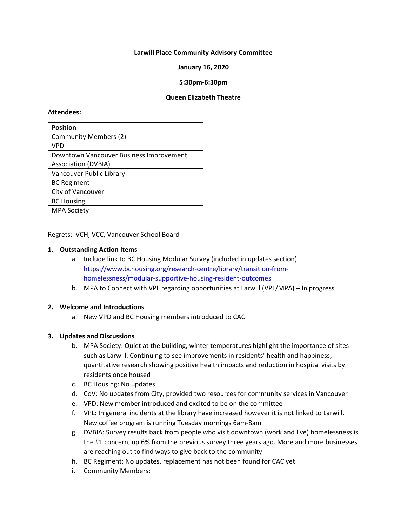### **Larwill Place Community Advisory Committee**

### **January 16, 2020**

### **5:30pm-6:30pm**

#### **Queen Elizabeth Theatre**

#### **Attendees:**

| <b>Position</b>                         |
|-----------------------------------------|
| <b>Community Members (2)</b>            |
| <b>VPD</b>                              |
| Downtown Vancouver Business Improvement |
| <b>Association (DVBIA)</b>              |
| Vancouver Public Library                |
| <b>BC Regiment</b>                      |
| City of Vancouver                       |
| <b>BC Housing</b>                       |
| <b>MPA Society</b>                      |

Regrets: VCH, VCC, Vancouver School Board

#### **1. Outstanding Action Items**

- a. Include link to BC Housing Modular Survey (included in updates section) [https://www.bchousing.org/research-centre/library/transition-from](https://www.bchousing.org/research-centre/library/transition-from-homelessness/modular-supportive-housing-resident-outcomes)[homelessness/modular-supportive-housing-resident-outcomes](https://www.bchousing.org/research-centre/library/transition-from-homelessness/modular-supportive-housing-resident-outcomes)
- b. MPA to Connect with VPL regarding opportunities at Larwill (VPL/MPA) In progress

#### **2. Welcome and Introductions**

a. New VPD and BC Housing members introduced to CAC

#### **3. Updates and Discussions**

- b. MPA Society: Quiet at the building, winter temperatures highlight the importance of sites such as Larwill. Continuing to see improvements in residents' health and happiness; quantitative research showing positive health impacts and reduction in hospital visits by residents once housed
- c. BC Housing: No updates
- d. CoV: No updates from City, provided two resources for community services in Vancouver
- e. VPD: New member introduced and excited to be on the committee
- f. VPL: In general incidents at the library have increased however it is not linked to Larwill. New coffee program is running Tuesday mornings 6am-8am
- g. DVBIA: Survey results back from people who visit downtown (work and live) homelessness is the #1 concern, up 6% from the previous survey three years ago. More and more businesses are reaching out to find ways to give back to the community
- h. BC Regiment: No updates, replacement has not been found for CAC yet
- i. Community Members: